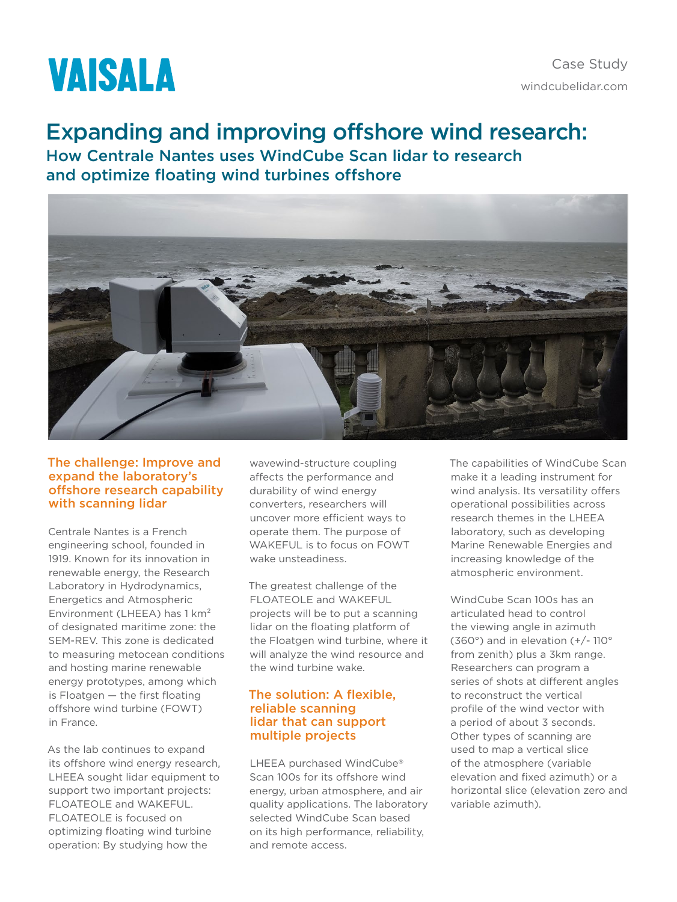# **VAISALA**

## Expanding and improving offshore wind research:

How Centrale Nantes uses WindCube Scan lidar to research and optimize floating wind turbines offshore



#### The challenge: Improve and expand the laboratory's offshore research capability with scanning lidar

Centrale Nantes is a French engineering school, founded in 1919. Known for its innovation in renewable energy, the Research Laboratory in Hydrodynamics, Energetics and Atmospheric Environment (LHEEA) has 1 km² of designated maritime zone: the SEM-REV. This zone is dedicated to measuring metocean conditions and hosting marine renewable energy prototypes, among which is Floatgen — the first floating offshore wind turbine (FOWT) in France.

As the lab continues to expand its offshore wind energy research, LHEEA sought lidar equipment to support two important projects: FLOATEOLE and WAKEFUL. FLOATEOLE is focused on optimizing floating wind turbine operation: By studying how the

wavewind-structure coupling affects the performance and durability of wind energy converters, researchers will uncover more efficient ways to operate them. The purpose of WAKEFUL is to focus on FOWT wake unsteadiness.

The greatest challenge of the FLOATEOLE and WAKEFUL projects will be to put a scanning lidar on the floating platform of the Floatgen wind turbine, where it will analyze the wind resource and the wind turbine wake.

### The solution: A flexible, reliable scanning lidar that can support multiple projects

LHEEA purchased WindCube® Scan 100s for its offshore wind energy, urban atmosphere, and air quality applications. The laboratory selected WindCube Scan based on its high performance, reliability, and remote access.

The capabilities of WindCube Scan make it a leading instrument for wind analysis. Its versatility offers operational possibilities across research themes in the LHEEA laboratory, such as developing Marine Renewable Energies and increasing knowledge of the atmospheric environment.

WindCube Scan 100s has an articulated head to control the viewing angle in azimuth (360°) and in elevation (+/- 110° from zenith) plus a 3km range. Researchers can program a series of shots at different angles to reconstruct the vertical profile of the wind vector with a period of about 3 seconds. Other types of scanning are used to map a vertical slice of the atmosphere (variable elevation and fixed azimuth) or a horizontal slice (elevation zero and variable azimuth).